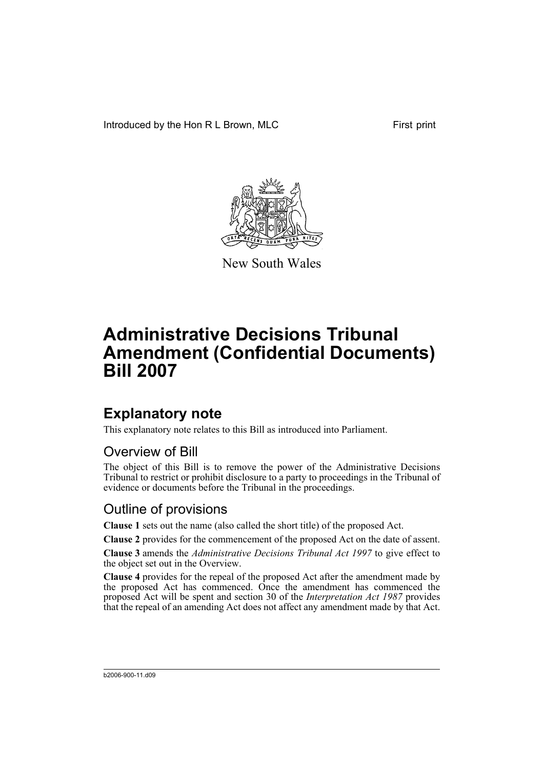Introduced by the Hon R L Brown, MLC First print



New South Wales

# **Administrative Decisions Tribunal Amendment (Confidential Documents) Bill 2007**

## **Explanatory note**

This explanatory note relates to this Bill as introduced into Parliament.

#### Overview of Bill

The object of this Bill is to remove the power of the Administrative Decisions Tribunal to restrict or prohibit disclosure to a party to proceedings in the Tribunal of evidence or documents before the Tribunal in the proceedings.

#### Outline of provisions

**Clause 1** sets out the name (also called the short title) of the proposed Act.

**Clause 2** provides for the commencement of the proposed Act on the date of assent.

**Clause 3** amends the *Administrative Decisions Tribunal Act 1997* to give effect to the object set out in the Overview.

**Clause 4** provides for the repeal of the proposed Act after the amendment made by the proposed Act has commenced. Once the amendment has commenced the proposed Act will be spent and section 30 of the *Interpretation Act 1987* provides that the repeal of an amending Act does not affect any amendment made by that Act.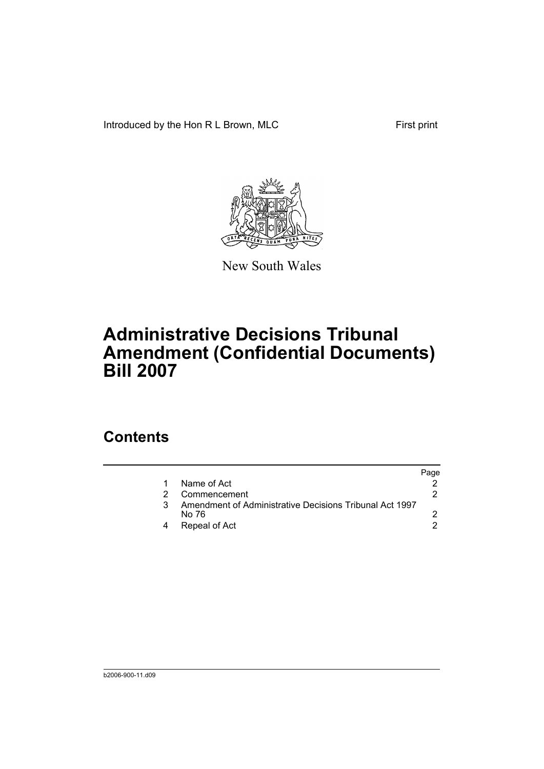Introduced by the Hon R L Brown, MLC First print



New South Wales

# **Administrative Decisions Tribunal Amendment (Confidential Documents) Bill 2007**

## **Contents**

|                                                                  | Page |
|------------------------------------------------------------------|------|
| Name of Act                                                      |      |
| Commencement                                                     |      |
| Amendment of Administrative Decisions Tribunal Act 1997<br>No 76 |      |
| Repeal of Act                                                    |      |
|                                                                  |      |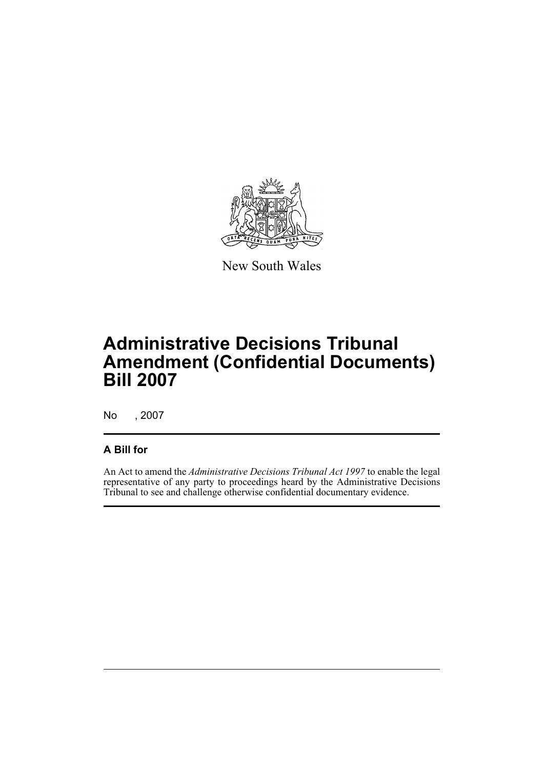

New South Wales

## **Administrative Decisions Tribunal Amendment (Confidential Documents) Bill 2007**

No , 2007

#### **A Bill for**

An Act to amend the *Administrative Decisions Tribunal Act 1997* to enable the legal representative of any party to proceedings heard by the Administrative Decisions Tribunal to see and challenge otherwise confidential documentary evidence.